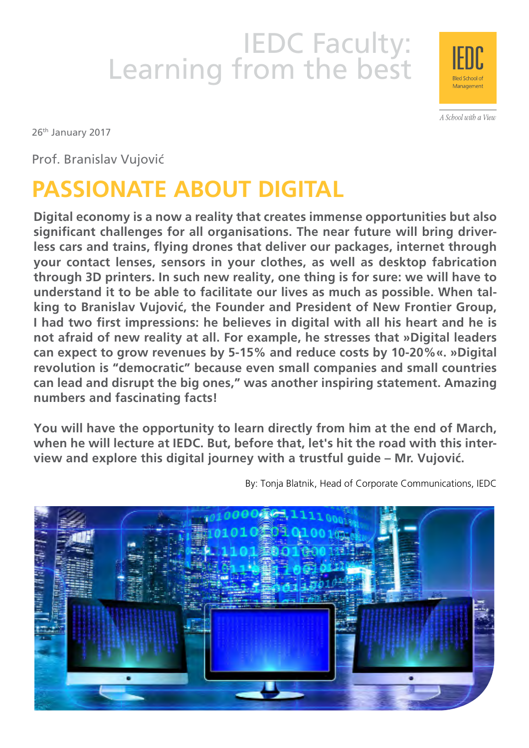# IEDC Faculty:<br>Learning from the best



A School with a View

26<sup>th</sup> January 2017

Prof. Branislav Vujović

# **Passionate about Digital**

**Digital economy is a now a reality that creates immense opportunities but also significant challenges for all organisations. The near future will bring driverless cars and trains, flying drones that deliver our packages, internet through your contact lenses, sensors in your clothes, as well as desktop fabrication through 3D printers. In such new reality, one thing is for sure: we will have to understand it to be able to facilitate our lives as much as possible. When talking to Branislav Vujović, the Founder and President of New Frontier Group, I had two first impressions: he believes in digital with all his heart and he is not afraid of new reality at all. For example, he stresses that »Digital leaders can expect to grow revenues by 5-15% and reduce costs by 10-20%«. »Digital revolution is "democratic" because even small companies and small countries can lead and disrupt the big ones," was another inspiring statement. Amazing numbers and fascinating facts!**

**You will have the opportunity to learn directly from him at the end of March, when he will lecture at IEDC. But, before that, let's hit the road with this interview and explore this digital journey with a trustful guide – Mr. Vujović.**

By: Tonja Blatnik, Head of Corporate Communications, IEDC

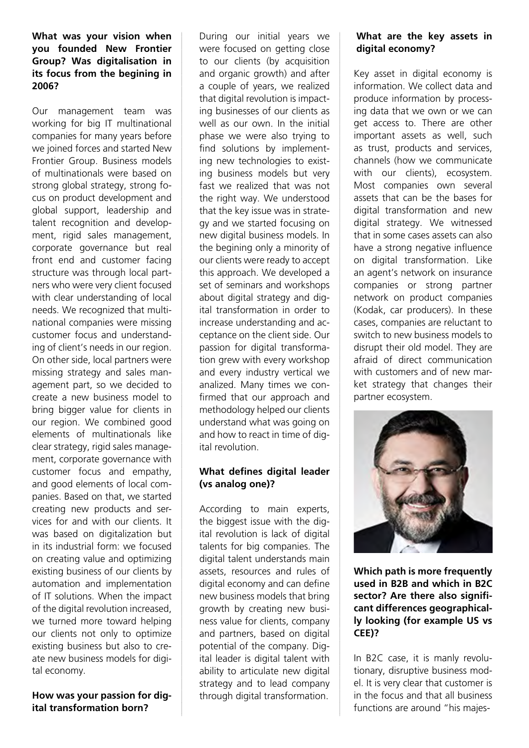#### **What was your vision when you founded New Frontier Group? Was digitalisation in its focus from the begining in 2006?**

Our management team was working for big IT multinational companies for many years before we joined forces and started New Frontier Group. Business models of multinationals were based on strong global strategy, strong focus on product development and global support, leadership and talent recognition and development, rigid sales management, corporate governance but real front end and customer facing structure was through local partners who were very client focused with clear understanding of local needs. We recognized that multinational companies were missing customer focus and understanding of client's needs in our region. On other side, local partners were missing strategy and sales management part, so we decided to create a new business model to bring bigger value for clients in our region. We combined good elements of multinationals like clear strategy, rigid sales management, corporate governance with customer focus and empathy, and good elements of local companies. Based on that, we started creating new products and services for and with our clients. It was based on digitalization but in its industrial form: we focused on creating value and optimizing existing business of our clients by automation and implementation of IT solutions. When the impact of the digital revolution increased, we turned more toward helping our clients not only to optimize existing business but also to create new business models for digital economy.

**How was your passion for digital transformation born?**

During our initial years we were focused on getting close to our clients (by acquisition and organic growth) and after a couple of years, we realized that digital revolution is impacting businesses of our clients as well as our own. In the initial phase we were also trying to find solutions by implementing new technologies to existing business models but very fast we realized that was not the right way. We understood that the key issue was in strategy and we started focusing on new digital business models. In the begining only a minority of our clients were ready to accept this approach. We developed a set of seminars and workshops about digital strategy and digital transformation in order to increase understanding and acceptance on the client side. Our passion for digital transformation grew with every workshop and every industry vertical we analized. Many times we confirmed that our approach and methodology helped our clients understand what was going on and how to react in time of digital revolution.

# **What defines digital leader (vs analog one)?**

According to main experts, the biggest issue with the digital revolution is lack of digital talents for big companies. The digital talent understands main assets, resources and rules of digital economy and can define new business models that bring growth by creating new business value for clients, company and partners, based on digital potential of the company. Digital leader is digital talent with ability to articulate new digital strategy and to lead company through digital transformation.

# **What are the key assets in digital economy?**

Key asset in digital economy is information. We collect data and produce information by processing data that we own or we can get access to. There are other important assets as well, such as trust, products and services, channels (how we communicate with our clients), ecosystem. Most companies own several assets that can be the bases for digital transformation and new digital strategy. We witnessed that in some cases assets can also have a strong negative influence on digital transformation. Like an agent's network on insurance companies or strong partner network on product companies (Kodak, car producers). In these cases, companies are reluctant to switch to new business models to disrupt their old model. They are afraid of direct communication with customers and of new market strategy that changes their partner ecosystem.



**Which path is more frequently used in B2B and which in B2C sector? Are there also significant differences geographically looking (for example US vs CEE)?**

In B2C case, it is manly revolutionary, disruptive business model. It is very clear that customer is in the focus and that all business functions are around "his majes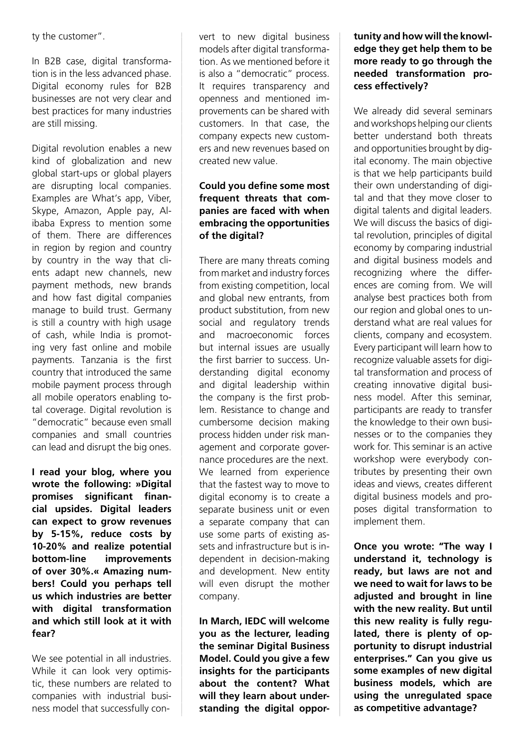ty the customer".

In B2B case, digital transformation is in the less advanced phase. Digital economy rules for B2B businesses are not very clear and best practices for many industries are still missing.

Digital revolution enables a new kind of globalization and new global start-ups or global players are disrupting local companies. Examples are What's app, Viber, Skype, Amazon, Apple pay, Alibaba Express to mention some of them. There are differences in region by region and country by country in the way that clients adapt new channels, new payment methods, new brands and how fast digital companies manage to build trust. Germany is still a country with high usage of cash, while India is promoting very fast online and mobile payments. Tanzania is the first country that introduced the same mobile payment process through all mobile operators enabling total coverage. Digital revolution is "democratic" because even small companies and small countries can lead and disrupt the big ones.

**I read your blog, where you wrote the following: »Digital promises significant financial upsides. Digital leaders can expect to grow revenues by 5-15%, reduce costs by 10-20% and realize potential bottom-line improvements of over 30%.« Amazing numbers! Could you perhaps tell us which industries are better with digital transformation and which still look at it with fear?**

We see potential in all industries. While it can look very optimistic, these numbers are related to companies with industrial business model that successfully convert to new digital business models after digital transformation. As we mentioned before it is also a "democratic" process. It requires transparency and openness and mentioned improvements can be shared with customers. In that case, the company expects new customers and new revenues based on created new value.

## **Could you define some most frequent threats that companies are faced with when embracing the opportunities of the digital?**

There are many threats coming from market and industry forces from existing competition, local and global new entrants, from product substitution, from new social and regulatory trends and macroeconomic forces but internal issues are usually the first barrier to success. Understanding digital economy and digital leadership within the company is the first problem. Resistance to change and cumbersome decision making process hidden under risk management and corporate governance procedures are the next. We learned from experience that the fastest way to move to digital economy is to create a separate business unit or even a separate company that can use some parts of existing assets and infrastructure but is independent in decision-making and development. New entity will even disrupt the mother company.

**In March, IEDC will welcome you as the lecturer, leading the seminar Digital Business Model. Could you give a few insights for the participants about the content? What will they learn about understanding the digital oppor-**

## **tunity and how will the knowledge they get help them to be more ready to go through the needed transformation process effectively?**

We already did several seminars and workshops helping our clients better understand both threats and opportunities brought by digital economy. The main objective is that we help participants build their own understanding of digital and that they move closer to digital talents and digital leaders. We will discuss the basics of digital revolution, principles of digital economy by comparing industrial and digital business models and recognizing where the differences are coming from. We will analyse best practices both from our region and global ones to understand what are real values for clients, company and ecosystem. Every participant will learn how to recognize valuable assets for digital transformation and process of creating innovative digital business model. After this seminar, participants are ready to transfer the knowledge to their own businesses or to the companies they work for. This seminar is an active workshop were everybody contributes by presenting their own ideas and views, creates different digital business models and proposes digital transformation to implement them.

**Once you wrote: "The way I understand it, technology is ready, but laws are not and we need to wait for laws to be adjusted and brought in line with the new reality. But until this new reality is fully regulated, there is plenty of opportunity to disrupt industrial enterprises." Can you give us some examples of new digital business models, which are using the unregulated space as competitive advantage?**